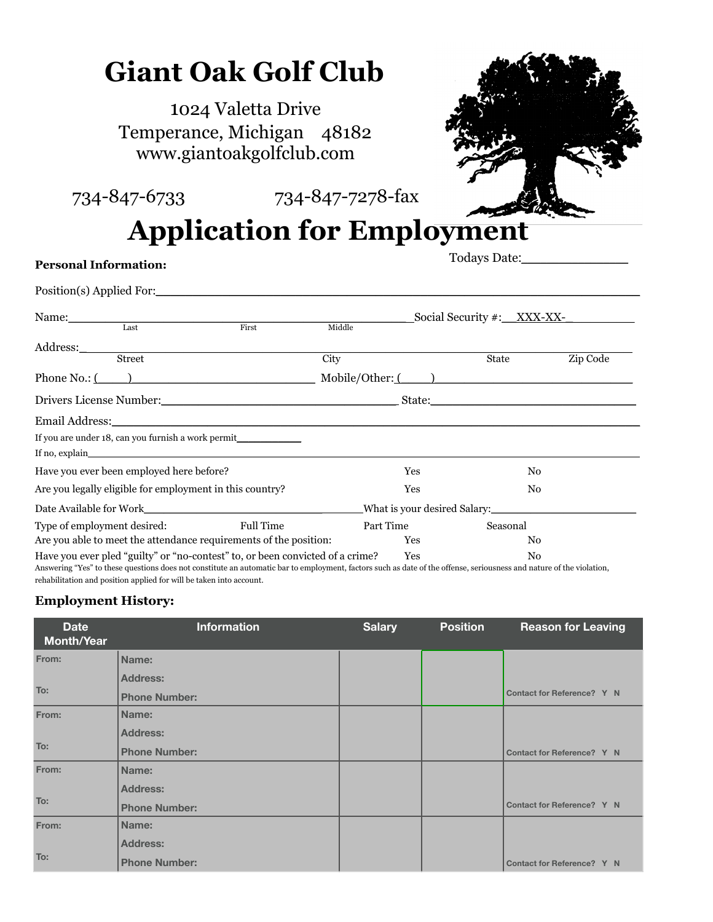# **Giant Oak Golf Club**

1024 Valetta Drive Temperance, Michigan 48182 [www.giant](http://www.giant)oakgolfclub.com



734-847-6733 734-847-7278-fax

## **Application for Employment**

## **Personal Information:**

Todays Date:\_\_\_\_\_\_\_\_\_\_\_\_\_\_\_\_\_

| Position(s) Applied For:                                                      |           |                            |            |          |          |
|-------------------------------------------------------------------------------|-----------|----------------------------|------------|----------|----------|
| Name: Last Fi                                                                 |           | Social Security #: XXX-XX- |            |          |          |
|                                                                               | First     | Middle                     |            |          |          |
|                                                                               |           |                            |            |          |          |
|                                                                               |           | City                       |            | State    | Zip Code |
| Phone No.: ( ) Mobile/Other: ( ) Mobile/Other: ( )                            |           |                            |            |          |          |
|                                                                               |           |                            |            |          |          |
|                                                                               |           |                            |            |          |          |
| If you are under 18, can you furnish a work permit_____________               |           |                            |            |          |          |
|                                                                               |           |                            |            |          |          |
| Have you ever been employed here before?                                      |           |                            | Yes<br>No. |          |          |
| Are you legally eligible for employment in this country?                      |           |                            | Yes        | No.      |          |
|                                                                               |           |                            |            |          |          |
| Type of employment desired:                                                   | Full Time |                            | Part Time  | Seasonal |          |
| Are you able to meet the attendance requirements of the position:             |           |                            | Yes        | No.      |          |
| Have you ever pled "guilty" or "no-contest" to, or been convicted of a crime? |           |                            | Yes        | No.      |          |

Answering "Yes" to these questions does not constitute an automatic bar to employment, factors such as date of the offense, seriousness and nature of the violation, rehabilitation and position applied for will be taken into account.

## **Employment History:**

| <b>Date</b><br><b>Month/Year</b> | <b>Information</b>   | <b>Salary</b> | <b>Position</b> | <b>Reason for Leaving</b>  |
|----------------------------------|----------------------|---------------|-----------------|----------------------------|
| From:                            | Name:                |               |                 |                            |
|                                  | <b>Address:</b>      |               |                 |                            |
| To:                              | <b>Phone Number:</b> |               |                 | Contact for Reference? Y N |
| From:                            | Name:                |               |                 |                            |
|                                  | <b>Address:</b>      |               |                 |                            |
| To:                              | <b>Phone Number:</b> |               |                 | Contact for Reference? Y N |
| From:                            | Name:                |               |                 |                            |
|                                  | <b>Address:</b>      |               |                 |                            |
| To:                              | <b>Phone Number:</b> |               |                 | Contact for Reference? Y N |
| From:                            | Name:                |               |                 |                            |
|                                  | <b>Address:</b>      |               |                 |                            |
| To:                              | <b>Phone Number:</b> |               |                 | Contact for Reference? Y N |